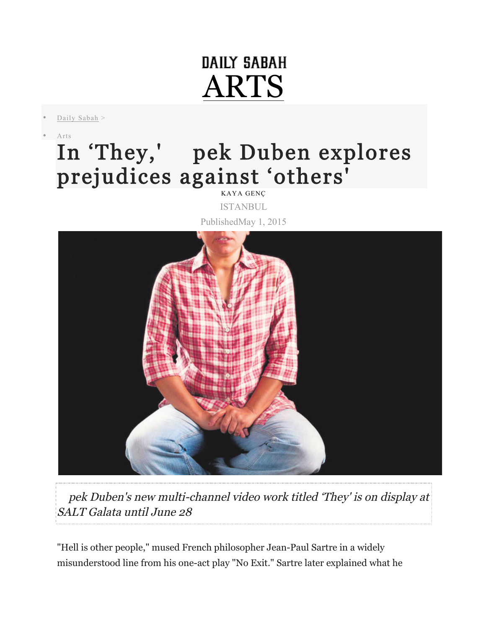## DAILY SABAH ARTS

Daily Sabah >

• Arts

## In 'They,' pek Duben explores prejudices against 'others'

KAYA GENÇ ISTANBUL

PublishedMay 1, 2015



pek Duben's new multi-channel video work titled 'They' is on display at SALT Galata until June 28

"Hell is other people," mused French philosopher Jean-Paul Sartre in a widely misunderstood line from his one-act play "No Exit." Sartre later explained what he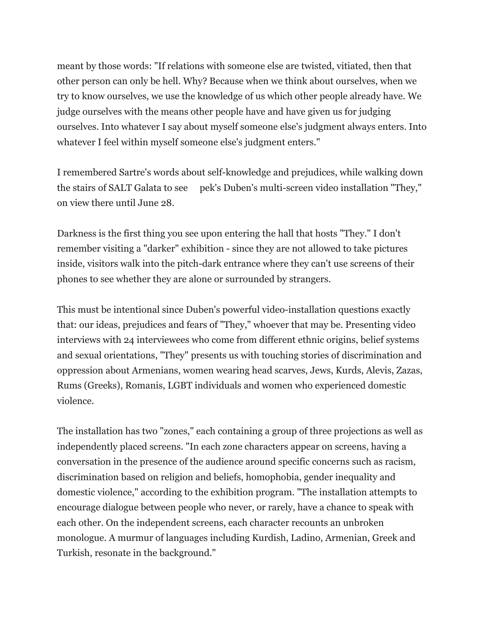meant by those words: "If relations with someone else are twisted, vitiated, then that other person can only be hell. Why? Because when we think about ourselves, when we try to know ourselves, we use the knowledge of us which other people already have. We judge ourselves with the means other people have and have given us for judging ourselves. Into whatever I say about myself someone else's judgment always enters. Into whatever I feel within myself someone else's judgment enters."

I remembered Sartre's words about self-knowledge and prejudices, while walking down the stairs of SALT Galata to see pek's Duben's multi-screen video installation "They," on view there until June 28.

Darkness is the first thing you see upon entering the hall that hosts "They." I don't remember visiting a "darker" exhibition - since they are not allowed to take pictures inside, visitors walk into the pitch-dark entrance where they can't use screens of their phones to see whether they are alone or surrounded by strangers.

This must be intentional since Duben's powerful video-installation questions exactly that: our ideas, prejudices and fears of "They," whoever that may be. Presenting video interviews with 24 interviewees who come from different ethnic origins, belief systems and sexual orientations, "They" presents us with touching stories of discrimination and oppression about Armenians, women wearing head scarves, Jews, Kurds, Alevis, Zazas, Rums (Greeks), Romanis, LGBT individuals and women who experienced domestic violence.

The installation has two "zones," each containing a group of three projections as well as independently placed screens. "In each zone characters appear on screens, having a conversation in the presence of the audience around specific concerns such as racism, discrimination based on religion and beliefs, homophobia, gender inequality and domestic violence," according to the exhibition program. "The installation attempts to encourage dialogue between people who never, or rarely, have a chance to speak with each other. On the independent screens, each character recounts an unbroken monologue. A murmur of languages including Kurdish, Ladino, Armenian, Greek and Turkish, resonate in the background."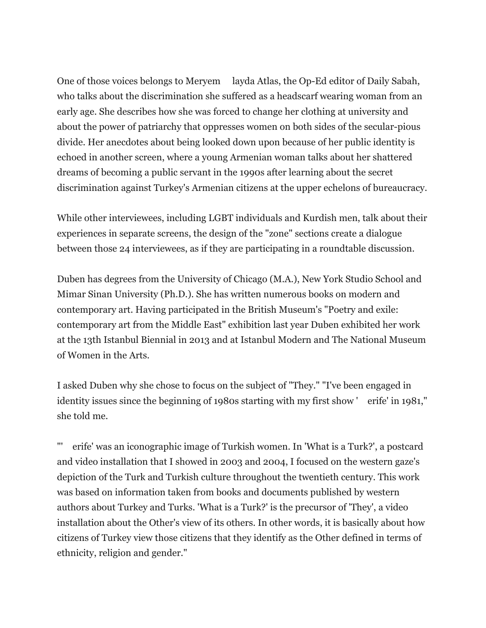One of those voices belongs to Meryem layda Atlas, the Op-Ed editor of Daily Sabah, who talks about the discrimination she suffered as a headscarf wearing woman from an early age. She describes how she was forced to change her clothing at university and about the power of patriarchy that oppresses women on both sides of the secular-pious divide. Her anecdotes about being looked down upon because of her public identity is echoed in another screen, where a young Armenian woman talks about her shattered dreams of becoming a public servant in the 1990s after learning about the secret discrimination against Turkey's Armenian citizens at the upper echelons of bureaucracy.

While other interviewees, including LGBT individuals and Kurdish men, talk about their experiences in separate screens, the design of the "zone" sections create a dialogue between those 24 interviewees, as if they are participating in a roundtable discussion.

Duben has degrees from the University of Chicago (M.A.), New York Studio School and Mimar Sinan University (Ph.D.). She has written numerous books on modern and contemporary art. Having participated in the British Museum's "Poetry and exile: contemporary art from the Middle East" exhibition last year Duben exhibited her work at the 13th Istanbul Biennial in 2013 and at Istanbul Modern and The National Museum of Women in the Arts.

I asked Duben why she chose to focus on the subject of "They." "I've been engaged in identity issues since the beginning of 1980s starting with my first show 'erife' in 1981," she told me.

erife' was an iconographic image of Turkish women. In 'What is a Turk?', a postcard and video installation that I showed in 2003 and 2004, I focused on the western gaze's depiction of the Turk and Turkish culture throughout the twentieth century. This work was based on information taken from books and documents published by western authors about Turkey and Turks. 'What is a Turk?' is the precursor of 'They', a video installation about the Other's view of its others. In other words, it is basically about how citizens of Turkey view those citizens that they identify as the Other defined in terms of ethnicity, religion and gender."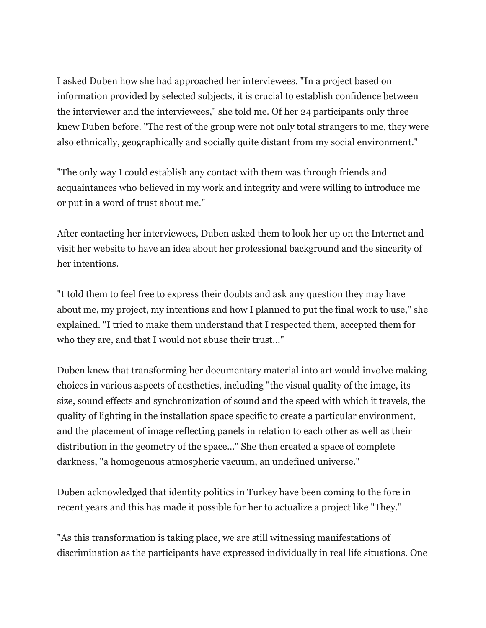I asked Duben how she had approached her interviewees. "In a project based on information provided by selected subjects, it is crucial to establish confidence between the interviewer and the interviewees," she told me. Of her 24 participants only three knew Duben before. "The rest of the group were not only total strangers to me, they were also ethnically, geographically and socially quite distant from my social environment."

"The only way I could establish any contact with them was through friends and acquaintances who believed in my work and integrity and were willing to introduce me or put in a word of trust about me."

After contacting her interviewees, Duben asked them to look her up on the Internet and visit her website to have an idea about her professional background and the sincerity of her intentions.

"I told them to feel free to express their doubts and ask any question they may have about me, my project, my intentions and how I planned to put the final work to use," she explained. "I tried to make them understand that I respected them, accepted them for who they are, and that I would not abuse their trust..."

Duben knew that transforming her documentary material into art would involve making choices in various aspects of aesthetics, including "the visual quality of the image, its size, sound effects and synchronization of sound and the speed with which it travels, the quality of lighting in the installation space specific to create a particular environment, and the placement of image reflecting panels in relation to each other as well as their distribution in the geometry of the space..." She then created a space of complete darkness, "a homogenous atmospheric vacuum, an undefined universe."

Duben acknowledged that identity politics in Turkey have been coming to the fore in recent years and this has made it possible for her to actualize a project like "They."

"As this transformation is taking place, we are still witnessing manifestations of discrimination as the participants have expressed individually in real life situations. One